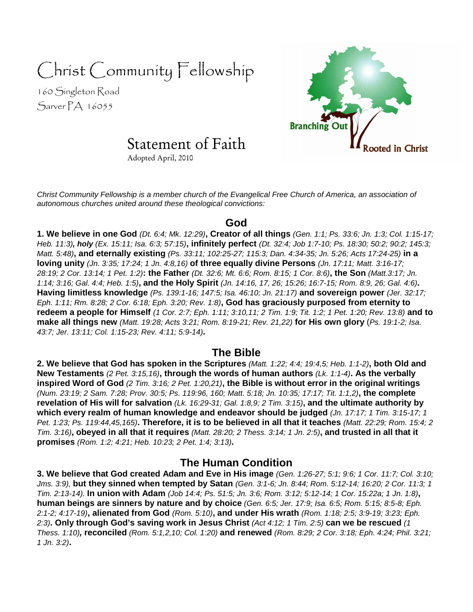# Christ Community Fellowship

160 Singleton Road Sarver PA 16055



# Statement of Faith

Adopted April, 2010

Christ Community Fellowship is a member church of the Evangelical Free Church of America, an association of autonomous churches united around these theological convictions:

#### **God**

**1. We believe in one God** (Dt. 6:4; Mk. 12:29)**, Creator of all things** (Gen. 1:1; Ps. 33:6; Jn. 1:3; Col. 1:15-17; Heb. 11:3)**, holy** (Ex. 15:11; Isa. 6:3; 57:15)**, infinitely perfect** (Dt. 32:4; Job 1:7-10; Ps. 18:30; 50:2; 90:2; 145:3; Matt. 5:48)**, and eternally existing** (Ps. 33:11; 102:25-27; 115:3; Dan. 4:34-35; Jn. 5:26; Acts 17:24-25) **in a loving unity** (Jn. 3:35; 17:24; 1 Jn. 4:8,16) **of three equally divine Persons** (Jn. 17:11; Matt. 3:16-17; 28:19; 2 Cor. 13:14; 1 Pet. 1:2)**: the Father** (Dt. 32:6; Mt. 6:6; Rom. 8:15; 1 Cor. 8:6)**, the Son** (Matt.3:17; Jn. 1:14; 3:16; Gal. 4:4; Heb. 1:5)**, and the Holy Spirit** (Jn. 14:16, 17, 26; 15:26; 16:7-15; Rom. 8:9, 26; Gal. 4:6)**. Having limitless knowledge** (Ps. 139:1-16; 147:5; Isa. 46:10; Jn. 21:17) **and sovereign power** (Jer. 32:17; Eph. 1:11; Rm. 8:28; 2 Cor. 6:18; Eph. 3:20; Rev. 1:8)**, God has graciously purposed from eternity to redeem a people for Himself** (1 Cor. 2:7; Eph. 1:11; 3:10,11; 2 Tim. 1:9; Tit. 1:2; 1 Pet. 1:20; Rev. 13:8) **and to make all things new** (Matt. 19:28; Acts 3:21; Rom. 8:19-21; Rev. 21,22) **for His own glory** (Ps. 19:1-2; Isa. 43:7; Jer. 13:11; Col. 1:15-23; Rev. 4:11; 5:9-14)**.** 

### **The Bible**

**2. We believe that God has spoken in the Scriptures** (Matt. 1:22; 4:4; 19:4,5; Heb. 1:1-2)**, both Old and New Testaments** (2 Pet. 3:15,16)**, through the words of human authors** (Lk. 1:1-4)**. As the verbally inspired Word of God** (2 Tim. 3:16; 2 Pet. 1:20,21)**, the Bible is without error in the original writings**  (Num. 23:19; 2 Sam. 7:28; Prov. 30:5; Ps. 119:96, 160; Matt. 5:18; Jn. 10:35; 17:17; Tit. 1:1,2)**, the complete revelation of His will for salvation** (Lk. 16:29-31; Gal. 1:8,9; 2 Tim. 3:15)**, and the ultimate authority by which every realm of human knowledge and endeavor should be judged** (Jn. 17:17; 1 Tim. 3:15-17; 1 Pet. 1:23; Ps. 119:44,45,165)**. Therefore, it is to be believed in all that it teaches** (Matt. 22:29; Rom. 15:4; 2 Tim. 3:16)**, obeyed in all that it requires** (Matt. 28:20; 2 Thess. 3:14; 1 Jn. 2:5)**, and trusted in all that it promises** (Rom. 1:2; 4:21; Heb. 10:23; 2 Pet. 1:4; 3:13)**.** 

## **The Human Condition**

**3. We believe that God created Adam and Eve in His image** (Gen. 1:26-27; 5:1; 9:6; 1 Cor. 11:7; Col. 3:10; Jms. 3:9), **but they sinned when tempted by Satan** (Gen. 3:1-6; Jn. 8:44; Rom. 5:12-14; 16:20; 2 Cor. 11:3; 1 Tim. 2:13-14). **In union with Adam** (Job 14:4; Ps. 51:5; Jn. 3:6; Rom. 3:12; 5:12-14; 1 Cor. 15:22a; 1 Jn. 1:8)**, human beings are sinners by nature and by choice** (Gen. 6:5; Jer. 17:9; Isa. 6:5; Rom. 5:15; 8:5-8; Eph. 2:1-2; 4:17-19)**, alienated from God** (Rom. 5:10)**, and under His wrath** (Rom. 1:18; 2:5; 3:9-19; 3:23; Eph. 2:3)**. Only through God's saving work in Jesus Christ** (Act 4:12; 1 Tim. 2:5) **can we be rescued** (1 Thess. 1:10)**, reconciled** (Rom. 5:1,2,10; Col. 1:20) **and renewed** (Rom. 8:29; 2 Cor. 3:18; Eph. 4:24; Phil. 3:21; 1 Jn. 3:2)**.**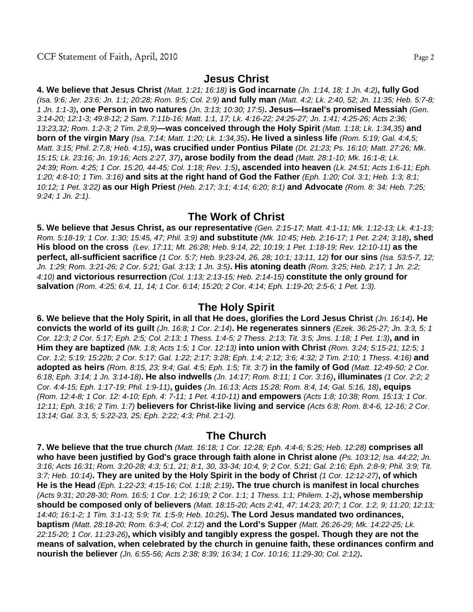#### **Jesus Christ**

**4. We believe that Jesus Christ** (Matt. 1:21; 16:18) **is God incarnate** (Jn. 1:14, 18; 1 Jn. 4:2)**, fully God**  (Isa. 9:6; Jer. 23:6; Jn. 1:1; 20:28; Rom. 9:5; Col. 2:9) **and fully man** (Matt. 4:2; Lk. 2:40, 52; Jn. 11:35; Heb. 5:7-8; 1 Jn. 1:1-3)**, one Person in two natures** (Jn. 3:13; 10:30; 17:5)**. Jesus—Israel's promised Messiah** (Gen. 3:14-20; 12:1-3; 49:8-12; 2 Sam. 7:11b-16; Matt. 1:1, 17; Lk. 4:16-22; 24:25-27; Jn. 1:41; 4:25-26; Acts 2:36; 13:23,32; Rom. 1:2-3; 2 Tim. 2:8,9)**—was conceived through the Holy Spirit** (Matt. 1:18; Lk. 1:34,35) **and born of the virgin Mary** (Isa. 7:14; Matt. 1:20; Lk. 1:34,35)**. He lived a sinless life** (Rom. 5:19; Gal. 4:4,5; Matt. 3:15; Phil. 2:7,8; Heb. 4:15)**, was crucified under Pontius Pilate** (Dt. 21:23; Ps. 16:10; Matt. 27:26; Mk. 15:15; Lk. 23:16; Jn. 19:16; Acts 2:27, 37)**, arose bodily from the dead** (Matt. 28:1-10; Mk. 16:1-8; Lk. 24:39; Rom. 4:25; 1 Cor. 15:20, 44-45; Col. 1:18; Rev. 1:5)**, ascended into heaven** (Lk. 24:51; Acts 1:6-11; Eph. 1:20; 4:8-10; 1 Tim. 3:16) **and sits at the right hand of God the Father** (Eph. 1:20; Col. 3:1; Heb. 1:3; 8:1; 10:12; 1 Pet. 3:22) **as our High Priest** (Heb. 2:17; 3:1; 4:14; 6:20; 8:1) **and Advocate** (Rom. 8: 34; Heb. 7:25; 9:24; 1 Jn. 2:1).

#### **The Work of Christ**

**5. We believe that Jesus Christ, as our representative** (Gen. 2:15-17; Matt. 4:1-11; Mk. 1:12-13; Lk. 4:1-13; Rom. 5:18-19; 1 Cor. 1:30; 15:45, 47; Phil. 3:9) **and substitute** (Mk. 10:45; Heb. 2:16-17; 1 Pet. 2:24; 3:18)**, shed His blood on the cross** (Lev. 17:11; Mt. 26:28; Heb. 9:14, 22; 10:19; 1 Pet. 1:18-19; Rev. 12:10-11) **as the perfect, all-sufficient sacrifice** (1 Cor. 5:7; Heb. 9:23-24, 26, 28; 10:1; 13:11, 12) **for our sins** (Isa. 53:5-7, 12; Jn. 1:29; Rom. 3:21-26; 2 Cor. 5:21; Gal. 3:13; 1 Jn. 3:5)**. His atoning death** (Rom. 3:25; Heb. 2:17; 1 Jn. 2:2; 4:10) **and victorious resurrection** (Col. 1:13; 2:13-15; Heb. 2:14-15) **constitute the only ground for salvation** (Rom. 4:25; 6:4, 11, 14; 1 Cor. 6:14; 15:20; 2 Cor. 4:14; Eph. 1:19-20; 2:5-6; 1 Pet. 1:3).

#### **The Holy Spirit**

**6. We believe that the Holy Spirit, in all that He does, glorifies the Lord Jesus Christ** (Jn. 16:14)**. He convicts the world of its guilt** (Jn. 16:8; 1 Cor. 2:14)**. He regenerates sinners** (Ezek. 36:25-27; Jn. 3:3, 5; 1 Cor. 12:3; 2 Cor. 5:17; Eph. 2:5; Col. 2:13; 1 Thess. 1:4-5; 2 Thess. 2:13; Tit. 3:5; Jms. 1:18; 1 Pet. 1:3)**, and in Him they are baptized** (Mk. 1:8; Acts 1:5; 1 Cor. 12:13) **into union with Christ** (Rom. 3:24; 5:15-21; 12:5; 1 Cor. 1:2; 5:19; 15:22b; 2 Cor. 5:17; Gal. 1:22; 2:17; 3:28; Eph. 1:4; 2:12; 3:6; 4:32; 2 Tim. 2:10; 1 Thess. 4:16) **and adopted as heirs** (Rom. 8:15, 23; 9:4; Gal. 4:5; Eph. 1:5; Tit. 3:7) **in the family of God** (Matt. 12:49-50; 2 Cor. 6:18; Eph. 3:14; 1 Jn. 3:14-18)**. He also indwells** (Jn. 14:17; Rom. 8:11; 1 Cor. 3:16)**, illuminates** (1 Cor. 2:2; 2 Cor. 4:4-15; Eph. 1:17-19; Phil. 1:9-11)**, guides** (Jn. 16:13; Acts 15:28; Rom. 8:4, 14; Gal. 5:16, 18)**, equips** (Rom. 12:4-8; 1 Cor. 12: 4-10; Eph. 4: 7-11; 1 Pet. 4:10-11) **and empowers** (Acts 1:8; 10:38; Rom. 15:13; 1 Cor. 12:11; Eph. 3:16; 2 Tim. 1:7) **believers for Christ-like living and service** (Acts 6:8; Rom. 8:4-6, 12-16; 2 Cor. 13:14; Gal. 3:3, 5; 5:22-23, 25; Eph. 2:22; 4:3; Phil. 2:1-2).

#### **The Church**

**7. We believe that the true church** (Matt. 16:18; 1 Cor. 12:28; Eph. 4:4-6; 5:25; Heb. 12:28) **comprises all who have been justified by God's grace through faith alone in Christ alone** (Ps. 103:12; Isa. 44:22; Jn. 3:16; Acts 16:31; Rom. 3:20-28; 4:3; 5:1, 21; 8:1, 30, 33-34; 10:4, 9; 2 Cor. 5:21; Gal. 2:16; Eph. 2:8-9; Phil. 3:9; Tit. 3:7; Heb. 10:14)**. They are united by the Holy Spirit in the body of Christ** (1 Cor. 12:12-27)**, of which He is the Head** (Eph. 1:22-23; 4:15-16; Col. 1:18; 2:19)**. The true church is manifest in local churches**  (Acts 9:31; 20:28-30; Rom. 16:5; 1 Cor. 1:2; 16:19; 2 Cor. 1:1; 1 Thess. 1:1; Philem. 1-2)**, whose membership should be composed only of believers** (Matt. 18:15-20; Acts 2:41, 47; 14:23; 20:7; 1 Cor. 1:2, 9; 11:20; 12:13; 14:40; 16:1-2; 1 Tim. 3:1-13; 5:9; Tit. 1:5-9; Heb. 10:25)**. The Lord Jesus mandated two ordinances, baptism** (Matt. 28:18-20; Rom. 6:3-4; Col. 2:12) **and the Lord's Supper** (Matt. 26:26-29; Mk. 14:22-25; Lk. 22:15-20; 1 Cor. 11:23-26)**, which visibly and tangibly express the gospel. Though they are not the means of salvation, when celebrated by the church in genuine faith, these ordinances confirm and nourish the believer** (Jn. 6:55-56; Acts 2:38; 8:39; 16:34; 1 Cor. 10:16; 11:29-30; Col. 2:12)**.**